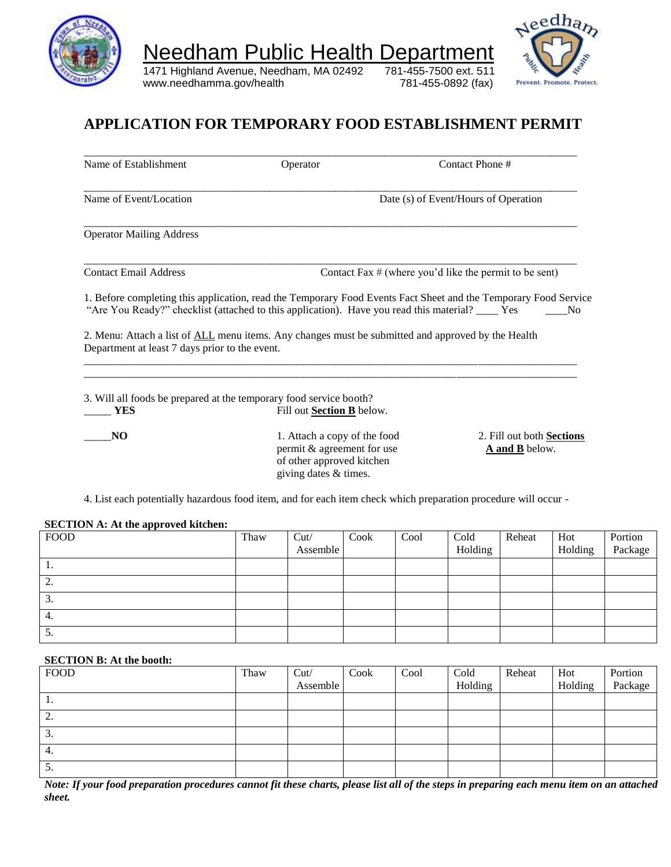

1471 Highland Avenue, Needham, MA 02492 781-455-7500 ext. 511 www.needhamma.gov/health 781-455-0892 (fax)



٦

## **APPLICATION FOR TEMPORARY FOOD ESTABLISHMENT PERMIT**

| Name of Establishment                                                                                                                                                                                               | Operator                                                |      |      | Contact Phone #                                          |                                             |                |
|---------------------------------------------------------------------------------------------------------------------------------------------------------------------------------------------------------------------|---------------------------------------------------------|------|------|----------------------------------------------------------|---------------------------------------------|----------------|
| Name of Event/Location                                                                                                                                                                                              |                                                         |      |      | Date (s) of Event/Hours of Operation                     |                                             |                |
| <b>Operator Mailing Address</b>                                                                                                                                                                                     |                                                         |      |      |                                                          |                                             |                |
| <b>Contact Email Address</b>                                                                                                                                                                                        |                                                         |      |      | Contact Fax $#$ (where you'd like the permit to be sent) |                                             |                |
| 1. Before completing this application, read the Temporary Food Events Fact Sheet and the Temporary Food Service<br>"Are You Ready?" checklist (attached to this application). Have you read this material? ____ Yes |                                                         |      |      |                                                          |                                             | No             |
|                                                                                                                                                                                                                     |                                                         |      |      |                                                          |                                             |                |
| 2. Menu: Attach a list of ALL menu items. Any changes must be submitted and approved by the Health                                                                                                                  |                                                         |      |      |                                                          |                                             |                |
| Department at least 7 days prior to the event.                                                                                                                                                                      |                                                         |      |      |                                                          |                                             |                |
| 3. Will all foods be prepared at the temporary food service booth?                                                                                                                                                  |                                                         |      |      |                                                          |                                             |                |
| <b>YES</b>                                                                                                                                                                                                          | Fill out Section B below.                               |      |      |                                                          |                                             |                |
| N <sub>O</sub>                                                                                                                                                                                                      | 1. Attach a copy of the food                            |      |      |                                                          | 2. Fill out both Sections<br>A and B below. |                |
|                                                                                                                                                                                                                     | permit & agreement for use<br>of other approved kitchen |      |      |                                                          |                                             |                |
|                                                                                                                                                                                                                     | giving dates & times.                                   |      |      |                                                          |                                             |                |
| 4. List each potentially hazardous food item, and for each item check which preparation procedure will occur -                                                                                                      |                                                         |      |      |                                                          |                                             |                |
|                                                                                                                                                                                                                     |                                                         |      |      |                                                          |                                             |                |
| <b>SECTION A: At the approved kitchen:</b><br><b>FOOD</b>                                                                                                                                                           | Thaw<br>Cut/<br>Assemble                                | Cook | Cool | Cold<br>Holding                                          | Reheat                                      | Hot<br>Holding |

| <b>FOOD</b>     | Thaw | Cut/<br>Assemble | Cook | Cool | Cold<br>Holding | Reheat | Hot<br>Holding | Portion<br>Package |
|-----------------|------|------------------|------|------|-----------------|--------|----------------|--------------------|
| -1.             |      |                  |      |      |                 |        |                |                    |
| ◠<br><u>L.</u>  |      |                  |      |      |                 |        |                |                    |
| $\sim$<br>.ر    |      |                  |      |      |                 |        |                |                    |
| 4.              |      |                  |      |      |                 |        |                |                    |
| $\mathcal{D}$ . |      |                  |      |      |                 |        |                |                    |

#### **SECTION B: At the booth:**

| <b>FOOD</b>                          | Thaw | Cut/     | Cook | Cool | Cold    | Reheat | Hot     | Portion |
|--------------------------------------|------|----------|------|------|---------|--------|---------|---------|
|                                      |      | Assemble |      |      | Holding |        | Holding | Package |
| 1.                                   |      |          |      |      |         |        |         |         |
| $\gamma$<br>$\overline{\phantom{a}}$ |      |          |      |      |         |        |         |         |
| 3.                                   |      |          |      |      |         |        |         |         |
| 4.                                   |      |          |      |      |         |        |         |         |
| $\mathcal{D}$ .                      |      |          |      |      |         |        |         |         |

*Note: If your food preparation procedures cannot fit these charts, please list all of the steps in preparing each menu item on an attached sheet.*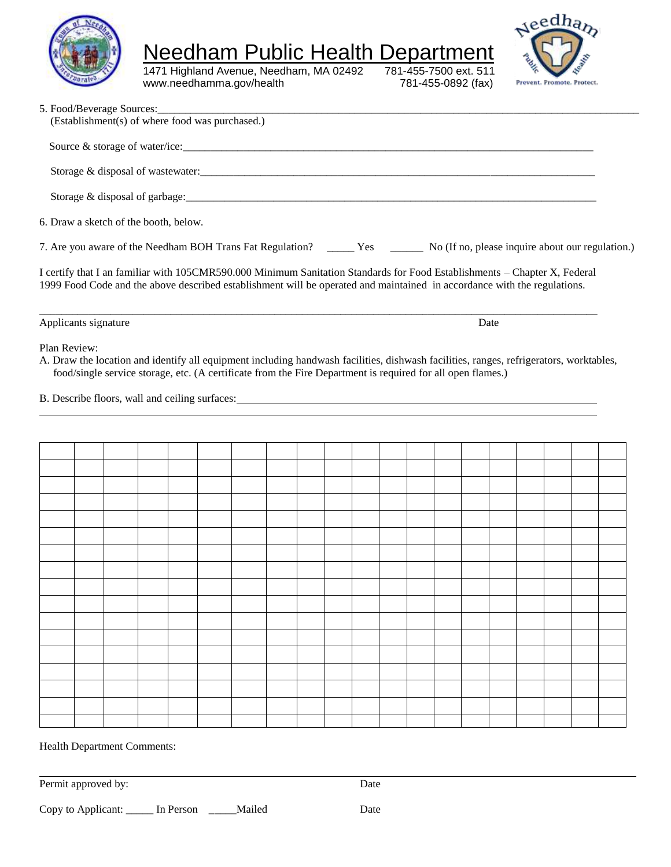

Needham Public Health Department<br>1471 Highland Avenue, Needham, MA 02492 781-455-7500 ext. 511

1471 Highland Avenue, Needham, MA 02492 781-455-7500 ext. 511<br>www.needhamma.gov/health 781-455-0892 (fax) www.needhamma.gov/health



| 5. Food/Beverage Sources:                                                                                                                                                                                                                                                                                                                                                |  |  | (Establishment(s) of where food was purchased.)                                                             |  |  |  |  |      |  |  |                                                                                                                               |
|--------------------------------------------------------------------------------------------------------------------------------------------------------------------------------------------------------------------------------------------------------------------------------------------------------------------------------------------------------------------------|--|--|-------------------------------------------------------------------------------------------------------------|--|--|--|--|------|--|--|-------------------------------------------------------------------------------------------------------------------------------|
|                                                                                                                                                                                                                                                                                                                                                                          |  |  | Source & storage of water/ice:                                                                              |  |  |  |  |      |  |  |                                                                                                                               |
|                                                                                                                                                                                                                                                                                                                                                                          |  |  |                                                                                                             |  |  |  |  |      |  |  |                                                                                                                               |
|                                                                                                                                                                                                                                                                                                                                                                          |  |  |                                                                                                             |  |  |  |  |      |  |  |                                                                                                                               |
| 6. Draw a sketch of the booth, below.                                                                                                                                                                                                                                                                                                                                    |  |  |                                                                                                             |  |  |  |  |      |  |  |                                                                                                                               |
|                                                                                                                                                                                                                                                                                                                                                                          |  |  |                                                                                                             |  |  |  |  |      |  |  | 7. Are you aware of the Needham BOH Trans Fat Regulation? ______ Yes _______ No (If no, please inquire about our regulation.) |
| I certify that I an familiar with 105CMR590.000 Minimum Sanitation Standards for Food Establishments - Chapter X, Federal<br>1999 Food Code and the above described establishment will be operated and maintained in accordance with the regulations.                                                                                                                    |  |  |                                                                                                             |  |  |  |  |      |  |  |                                                                                                                               |
| Applicants signature                                                                                                                                                                                                                                                                                                                                                     |  |  |                                                                                                             |  |  |  |  | Date |  |  |                                                                                                                               |
| A. Draw the location and identify all equipment including handwash facilities, dishwash facilities, ranges, refrigerators, worktables,<br>B. Describe floors, wall and ceiling surfaces: Universe of the state of the state of the state of the state of the state of the state of the state of the state of the state of the state of the state of the state of the sta |  |  | food/single service storage, etc. (A certificate from the Fire Department is required for all open flames.) |  |  |  |  |      |  |  |                                                                                                                               |
|                                                                                                                                                                                                                                                                                                                                                                          |  |  |                                                                                                             |  |  |  |  |      |  |  |                                                                                                                               |
|                                                                                                                                                                                                                                                                                                                                                                          |  |  |                                                                                                             |  |  |  |  |      |  |  |                                                                                                                               |
|                                                                                                                                                                                                                                                                                                                                                                          |  |  |                                                                                                             |  |  |  |  |      |  |  |                                                                                                                               |
|                                                                                                                                                                                                                                                                                                                                                                          |  |  |                                                                                                             |  |  |  |  |      |  |  |                                                                                                                               |
|                                                                                                                                                                                                                                                                                                                                                                          |  |  |                                                                                                             |  |  |  |  |      |  |  |                                                                                                                               |
|                                                                                                                                                                                                                                                                                                                                                                          |  |  |                                                                                                             |  |  |  |  |      |  |  |                                                                                                                               |
|                                                                                                                                                                                                                                                                                                                                                                          |  |  |                                                                                                             |  |  |  |  |      |  |  |                                                                                                                               |
|                                                                                                                                                                                                                                                                                                                                                                          |  |  |                                                                                                             |  |  |  |  |      |  |  |                                                                                                                               |
|                                                                                                                                                                                                                                                                                                                                                                          |  |  |                                                                                                             |  |  |  |  |      |  |  |                                                                                                                               |
|                                                                                                                                                                                                                                                                                                                                                                          |  |  |                                                                                                             |  |  |  |  |      |  |  |                                                                                                                               |
|                                                                                                                                                                                                                                                                                                                                                                          |  |  |                                                                                                             |  |  |  |  |      |  |  |                                                                                                                               |
|                                                                                                                                                                                                                                                                                                                                                                          |  |  |                                                                                                             |  |  |  |  |      |  |  |                                                                                                                               |

Health Department Comments:

Permit approved by: Date

Copy to Applicant: \_\_\_\_\_ In Person \_\_\_\_\_Mailed Date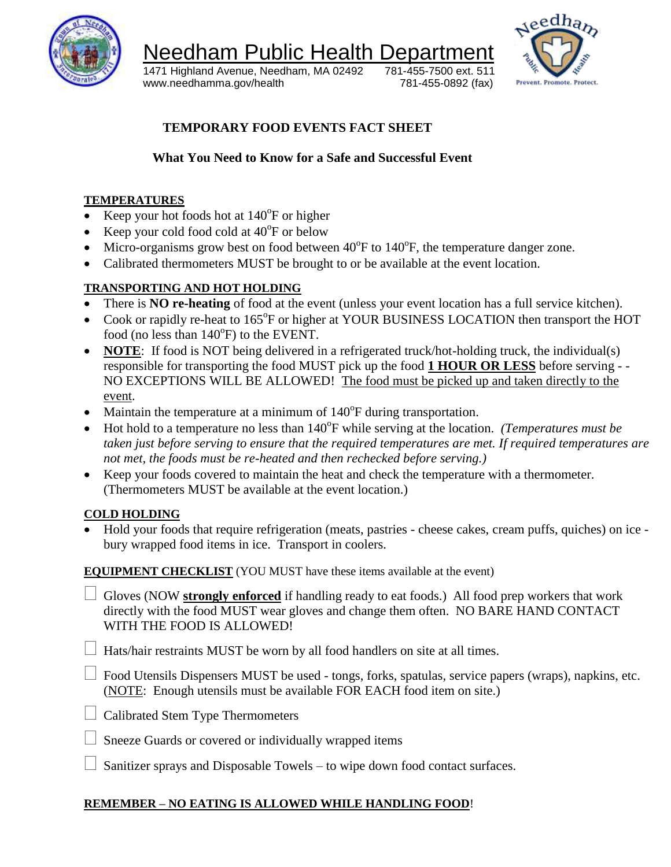

1471 Highland Avenue, Needham, MA 02492 781-455-7500 ext. 511 www.needhamma.gov/health 781-455-0892 (fax)



**TEMPORARY FOOD EVENTS FACT SHEET**

## **What You Need to Know for a Safe and Successful Event**

#### **TEMPERATURES**

- Exequence Keep your hot foods hot at  $140^{\circ}$ F or higher
- Exerc<br/>your cold food cold at  $40^{\circ}$ F or below
- $\bullet$  Micro-organisms grow best on food between 40°F to 140°F, the temperature danger zone.
- Calibrated thermometers MUST be brought to or be available at the event location.

### **TRANSPORTING AND HOT HOLDING**

- There is **NO re-heating** of food at the event (unless your event location has a full service kitchen).
- Cook or rapidly re-heat to 165°F or higher at YOUR BUSINESS LOCATION then transport the HOT food (no less than  $140^{\circ}$ F) to the EVENT.
- **NOTE:** If food is NOT being delivered in a refrigerated truck/hot-holding truck, the individual(s) responsible for transporting the food MUST pick up the food **1 HOUR OR LESS** before serving - - NO EXCEPTIONS WILL BE ALLOWED! The food must be picked up and taken directly to the event.
- Maintain the temperature at a minimum of  $140^{\circ}$ F during transportation.
- Hot hold to a temperature no less than 140<sup>o</sup>F while serving at the location. *(Temperatures must be taken just before serving to ensure that the required temperatures are met. If required temperatures are not met, the foods must be re-heated and then rechecked before serving.)*
- Keep your foods covered to maintain the heat and check the temperature with a thermometer. (Thermometers MUST be available at the event location.)

#### **COLD HOLDING**

 Hold your foods that require refrigeration (meats, pastries - cheese cakes, cream puffs, quiches) on ice bury wrapped food items in ice. Transport in coolers.

**EQUIPMENT CHECKLIST** (YOU MUST have these items available at the event)

 Gloves (NOW **strongly enforced** if handling ready to eat foods.) All food prep workers that work directly with the food MUST wear gloves and change them often. NO BARE HAND CONTACT WITH THE FOOD IS ALLOWED!

 $\Box$  Hats/hair restraints MUST be worn by all food handlers on site at all times.

 $\Box$  Food Utensils Dispensers MUST be used - tongs, forks, spatulas, service papers (wraps), napkins, etc. (NOTE: Enough utensils must be available FOR EACH food item on site.)

- $\Box$  Calibrated Stem Type Thermometers
- $\Box$  Sneeze Guards or covered or individually wrapped items
- $\Box$  Sanitizer sprays and Disposable Towels to wipe down food contact surfaces.

#### **REMEMBER – NO EATING IS ALLOWED WHILE HANDLING FOOD**!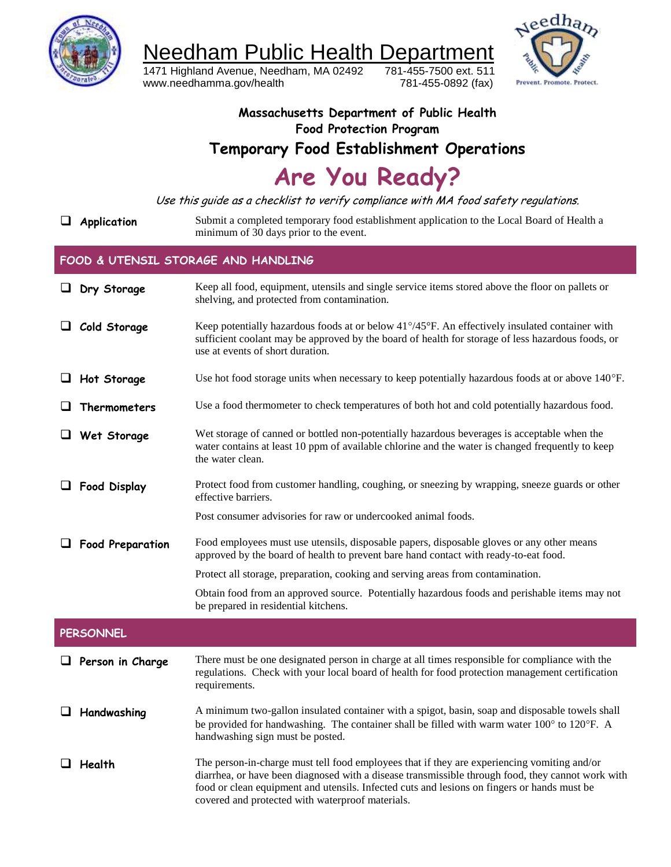

1471 Highland Avenue, Needham, MA 02492 781-455-7500 ext. 511 www.needhamma.gov/health 781-455-0892 (fax)



**Massachusetts Department of Public Health Food Protection Program Temporary Food Establishment Operations Are You Ready?**

Use this guide as a checklist to verify compliance with MA food safety regulations.

**Application** Submit a completed temporary food establishment application to the Local Board of Health a minimum of 30 days prior to the event.

#### **FOOD & UTENSIL STORAGE AND HANDLING**

|   | $\Box$ Dry Storage      | Keep all food, equipment, utensils and single service items stored above the floor on pallets or<br>shelving, and protected from contamination.                                                                                                                                                                                                     |
|---|-------------------------|-----------------------------------------------------------------------------------------------------------------------------------------------------------------------------------------------------------------------------------------------------------------------------------------------------------------------------------------------------|
|   | Cold Storage            | Keep potentially hazardous foods at or below 41°/45°F. An effectively insulated container with<br>sufficient coolant may be approved by the board of health for storage of less hazardous foods, or<br>use at events of short duration.                                                                                                             |
| ⊔ | Hot Storage             | Use hot food storage units when necessary to keep potentially hazardous foods at or above $140^{\circ}$ F.                                                                                                                                                                                                                                          |
|   | Thermometers            | Use a food thermometer to check temperatures of both hot and cold potentially hazardous food.                                                                                                                                                                                                                                                       |
| ⊔ | Wet Storage             | Wet storage of canned or bottled non-potentially hazardous beverages is acceptable when the<br>water contains at least 10 ppm of available chlorine and the water is changed frequently to keep<br>the water clean.                                                                                                                                 |
|   | <b>Food Display</b>     | Protect food from customer handling, coughing, or sneezing by wrapping, sneeze guards or other<br>effective barriers.                                                                                                                                                                                                                               |
|   |                         | Post consumer advisories for raw or undercooked animal foods.                                                                                                                                                                                                                                                                                       |
|   | <b>Food Preparation</b> | Food employees must use utensils, disposable papers, disposable gloves or any other means<br>approved by the board of health to prevent bare hand contact with ready-to-eat food.                                                                                                                                                                   |
|   |                         | Protect all storage, preparation, cooking and serving areas from contamination.                                                                                                                                                                                                                                                                     |
|   |                         | Obtain food from an approved source. Potentially hazardous foods and perishable items may not<br>be prepared in residential kitchens.                                                                                                                                                                                                               |
|   | <b>PERSONNEL</b>        |                                                                                                                                                                                                                                                                                                                                                     |
|   | $\Box$ Person in Charge | There must be one designated person in charge at all times responsible for compliance with the<br>regulations. Check with your local board of health for food protection management certification<br>requirements.                                                                                                                                  |
|   | Handwashing             | A minimum two-gallon insulated container with a spigot, basin, soap and disposable towels shall<br>be provided for handwashing. The container shall be filled with warm water 100° to 120°F. A<br>handwashing sign must be posted.                                                                                                                  |
|   | Health                  | The person-in-charge must tell food employees that if they are experiencing vomiting and/or<br>diarrhea, or have been diagnosed with a disease transmissible through food, they cannot work with<br>food or clean equipment and utensils. Infected cuts and lesions on fingers or hands must be<br>covered and protected with waterproof materials. |